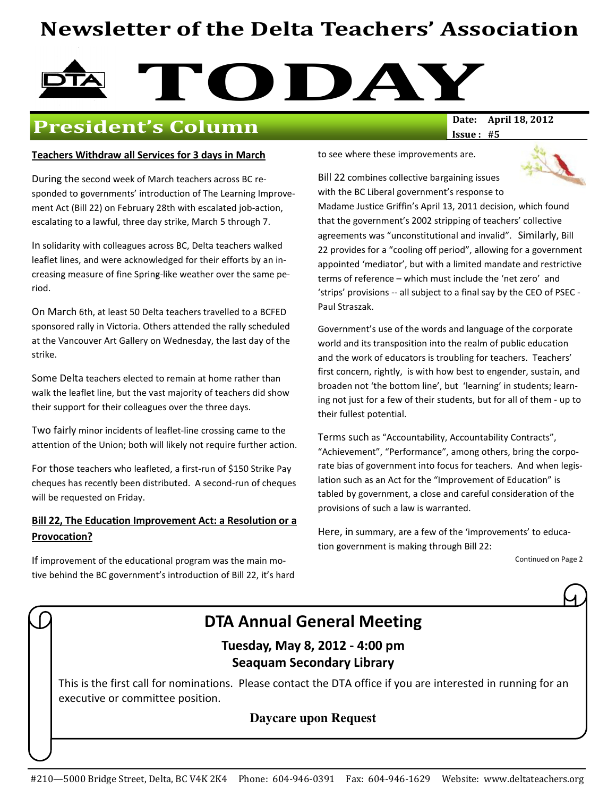## Newsletter of the Delta Teachers' Association

# **TODAY**<br>Date: April 18, 2012

## President's Column

#### Teachers Withdraw all Services for 3 days in March

During the second week of March teachers across BC responded to governments' introduction of The Learning Improvement Act (Bill 22) on February 28th with escalated job-action, escalating to a lawful, three day strike, March 5 through 7.

In solidarity with colleagues across BC, Delta teachers walked leaflet lines, and were acknowledged for their efforts by an increasing measure of fine Spring-like weather over the same period.

On March 6th, at least 50 Delta teachers travelled to a BCFED sponsored rally in Victoria. Others attended the rally scheduled at the Vancouver Art Gallery on Wednesday, the last day of the strike.

Some Delta teachers elected to remain at home rather than walk the leaflet line, but the vast majority of teachers did show their support for their colleagues over the three days.

Two fairly minor incidents of leaflet-line crossing came to the attention of the Union; both will likely not require further action.

For those teachers who leafleted, a first-run of \$150 Strike Pay cheques has recently been distributed. A second-run of cheques will be requested on Friday.

#### Bill 22, The Education Improvement Act: a Resolution or a Provocation?

If improvement of the educational program was the main motive behind the BC government's introduction of Bill 22, it's hard Issue : #5

to see where these improvements are.



Bill 22 combines collective bargaining issues with the BC Liberal government's response to

Madame Justice Griffin's April 13, 2011 decision, which found that the government's 2002 stripping of teachers' collective agreements was "unconstitutional and invalid". Similarly, Bill 22 provides for a "cooling off period", allowing for a government appointed 'mediator', but with a limited mandate and restrictive terms of reference – which must include the 'net zero' and 'strips' provisions -- all subject to a final say by the CEO of PSEC - Paul Straszak.

Government's use of the words and language of the corporate world and its transposition into the realm of public education and the work of educators is troubling for teachers. Teachers' first concern, rightly, is with how best to engender, sustain, and broaden not 'the bottom line', but 'learning' in students; learning not just for a few of their students, but for all of them - up to their fullest potential.

Terms such as "Accountability, Accountability Contracts", "Achievement", "Performance", among others, bring the corporate bias of government into focus for teachers. And when legislation such as an Act for the "Improvement of Education" is tabled by government, a close and careful consideration of the provisions of such a law is warranted.

Here, in summary, are a few of the 'improvements' to education government is making through Bill 22:

Continued on Page 2